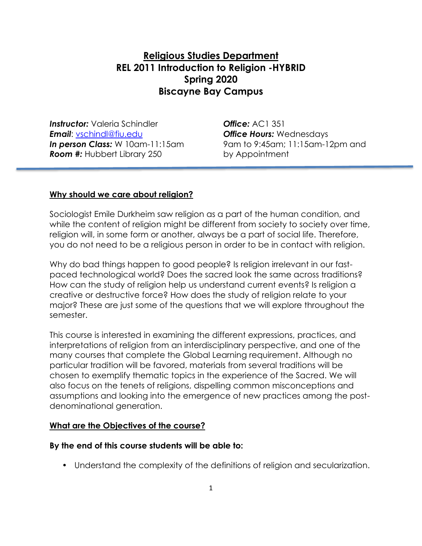# **Religious Studies Department REL 2011 Introduction to Religion -HYBRID Spring 2020 Biscayne Bay Campus**

**Instructor:** Valeria Schindler **Construction: Office:** AC1 351 *Email*: [vschindl@fiu.edu](mailto:vschindl@fiu.edu) *Office Hours:* Wednesdays **Room #:** Hubbert Library 250 by Appointment

**In person Class:** W 10am-11:15am 9am to 9:45am; 11:15am-12pm and

#### **Why should we care about religion?**

Sociologist Emile Durkheim saw religion as a part of the human condition, and while the content of religion might be different from society to society over time, religion will, in some form or another, always be a part of social life. Therefore, you do not need to be a religious person in order to be in contact with religion.

Why do bad things happen to good people? Is religion irrelevant in our fastpaced technological world? Does the sacred look the same across traditions? How can the study of religion help us understand current events? Is religion a creative or destructive force? How does the study of religion relate to your major? These are just some of the questions that we will explore throughout the semester.

This course is interested in examining the different expressions, practices, and interpretations of religion from an interdisciplinary perspective, and one of the many courses that complete the Global Learning requirement. Although no particular tradition will be favored, materials from several traditions will be chosen to exemplify thematic topics in the experience of the Sacred. We will also focus on the tenets of religions, dispelling common misconceptions and assumptions and looking into the emergence of new practices among the postdenominational generation.

#### **What are the Objectives of the course?**

#### **By the end of this course students will be able to:**

• Understand the complexity of the definitions of religion and secularization.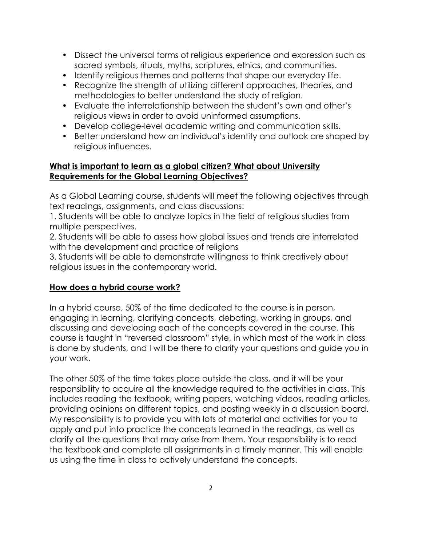- Dissect the universal forms of religious experience and expression such as sacred symbols, rituals, myths, scriptures, ethics, and communities.
- Identify religious themes and patterns that shape our everyday life.
- Recognize the strength of utilizing different approaches, theories, and methodologies to better understand the study of religion.
- Evaluate the interrelationship between the student's own and other's religious views in order to avoid uninformed assumptions.
- Develop college-level academic writing and communication skills.
- Better understand how an individual's identity and outlook are shaped by religious influences.

## **What is important to learn as a global citizen? What about University Requirements for the Global Learning Objectives?**

As a Global Learning course, students will meet the following objectives through text readings, assignments, and class discussions:

1. Students will be able to analyze topics in the field of religious studies from multiple perspectives.

2. Students will be able to assess how global issues and trends are interrelated with the development and practice of religions

3. Students will be able to demonstrate willingness to think creatively about religious issues in the contemporary world.

### **How does a hybrid course work?**

In a hybrid course, 50% of the time dedicated to the course is in person, engaging in learning, clarifying concepts, debating, working in groups, and discussing and developing each of the concepts covered in the course. This course is taught in "reversed classroom" style, in which most of the work in class is done by students, and I will be there to clarify your questions and guide you in your work.

The other 50% of the time takes place outside the class, and it will be your responsibility to acquire all the knowledge required to the activities in class. This includes reading the textbook, writing papers, watching videos, reading articles, providing opinions on different topics, and posting weekly in a discussion board. My responsibility is to provide you with lots of material and activities for you to apply and put into practice the concepts learned in the readings, as well as clarify all the questions that may arise from them. Your responsibility is to read the textbook and complete all assignments in a timely manner. This will enable us using the time in class to actively understand the concepts.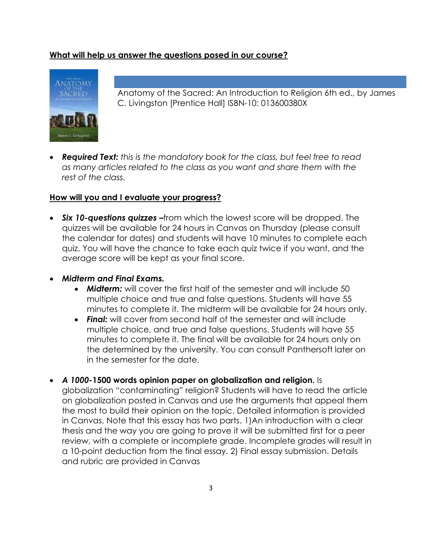### **What will help us answer the questions posed in our course?**



Anatomy of the Sacred: An Introduction to Religion 6th ed., by James C. Livingston [Prentice Hall] ISBN-10: 013600380X

• *Required Text: this is the mandatory book for the class, but feel free to read as many articles related to the class as you want and share them with the rest of the class.*

#### **How will you and I evaluate your progress?**

- *Six 10-questions quizzes –*from which the lowest score will be dropped. The quizzes will be available for 24 hours in Canvas on Thursday (please consult the calendar for dates) and students will have 10 minutes to complete each quiz. You will have the chance to take each quiz twice if you want, and the average score will be kept as your final score.
- *Midterm and Final Exams.*
	- *Midterm:* will cover the first half of the semester and will include 50 multiple choice and true and false questions. Students will have 55 minutes to complete it. The midterm will be available for 24 hours only.
	- *Final:* will cover from second half of the semester and will include multiple choice, and true and false questions. Students will have 55 minutes to complete it. The final will be available for 24 hours only on the determined by the university. You can consult Panthersoft later on in the semester for the date.
- *A 1000-***1500 words opinion paper on globalization and religion.** Is globalization "contaminating" religion? Students will have to read the article on globalization posted in Canvas and use the arguments that appeal them the most to build their opinion on the topic. Detailed information is provided in Canvas. Note that this essay has two parts. 1)An introduction with a clear thesis and the way you are going to prove it will be submitted first for a peer review, with a complete or incomplete grade. Incomplete grades will result in a 10-point deduction from the final essay. 2) Final essay submission. Details and rubric are provided in Canvas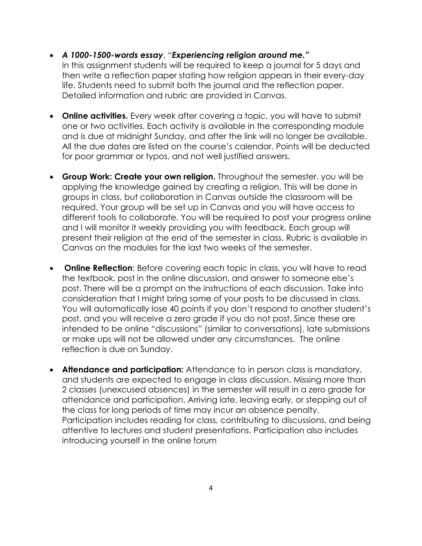- *A 1000-1500-words essay*. "*Experiencing religion around me."* In this assignment students will be required to keep a journal for 5 days and then write a reflection paper stating how religion appears in their every-day life. Students need to submit both the journal and the reflection paper. Detailed information and rubric are provided in Canvas.
- **Online activities.** Every week after covering a topic, you will have to submit one or two activities. Each activity is available in the corresponding module and is due at midnight Sunday, and after the link will no longer be available. All the due dates are listed on the course's calendar. Points will be deducted for poor grammar or typos, and not well justified answers.
- **Group Work: Create your own religion.** Throughout the semester, you will be applying the knowledge gained by creating a religion. This will be done in groups in class, but collaboration in Canvas outside the classroom will be required. Your group will be set up in Canvas and you will have access to different tools to collaborate. You will be required to post your progress online and I will monitor it weekly providing you with feedback. Each group will present their religion at the end of the semester in class. Rubric is available in Canvas on the modules for the last two weeks of the semester.
- **Online Reflection**: Before covering each topic in class, you will have to read the textbook, post in the online discussion, and answer to someone else's post. There will be a prompt on the instructions of each discussion. Take into consideration that I might bring some of your posts to be discussed in class. You will automatically lose 40 points if you don't respond to another student's post, and you will receive a zero grade if you do not post. Since these are intended to be online "discussions" (similar to conversations), late submissions or make ups will not be allowed under any circumstances. The online reflection is due on Sunday.
- **Attendance and participation:** Attendance to in person class is mandatory, and students are expected to engage in class discussion. Missing more than 2 classes (unexcused absences) in the semester will result in a zero grade for attendance and participation. Arriving late, leaving early, or stepping out of the class for long periods of time may incur an absence penalty. Participation includes reading for class, contributing to discussions, and being attentive to lectures and student presentations. Participation also includes introducing yourself in the online forum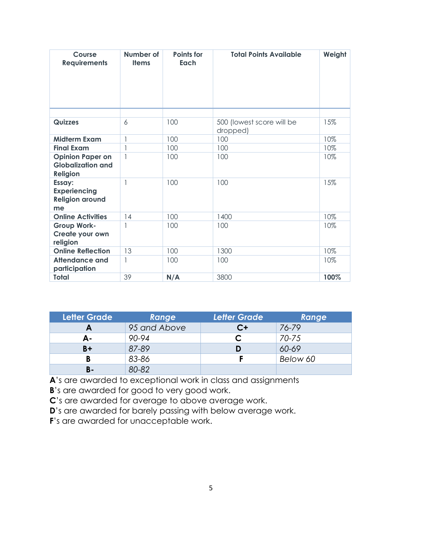| Course<br><b>Requirements</b>                                          | Number of<br><b>Items</b> | <b>Points for</b><br>Each | <b>Total Points Available</b>         | Weight |
|------------------------------------------------------------------------|---------------------------|---------------------------|---------------------------------------|--------|
| <b>Quizzes</b>                                                         | 6                         | 100                       | 500 (lowest score will be<br>dropped) | 15%    |
| <b>Midterm Exam</b>                                                    | $\mathbf{1}$              | 100                       | 100                                   | 10%    |
| <b>Final Exam</b>                                                      | $\mathbf{1}$              | 100                       | 100                                   | 10%    |
| <b>Opinion Paper on</b><br><b>Globalization and</b><br><b>Religion</b> | 1                         | 100                       | 100                                   | 10%    |
| Essay:<br><b>Experiencing</b><br><b>Religion around</b><br>me          |                           | 100                       | 100                                   | 15%    |
| <b>Online Activities</b>                                               | 14                        | 100                       | 1400                                  | 10%    |
| <b>Group Work-</b><br>Create your own<br>religion                      | $\mathbf{1}$              | 100                       | 100                                   | 10%    |
| <b>Online Reflection</b>                                               | 13                        | 100                       | 1300                                  | 10%    |
| <b>Attendance and</b><br>participation                                 | 1                         | 100                       | 100                                   | 10%    |
| <b>Total</b>                                                           | 39                        | N/A                       | 3800                                  | 100%   |

| Letter Grade | Range        | <b>Letter Grade</b> | Range     |
|--------------|--------------|---------------------|-----------|
| A            | 95 and Above | C+                  | 76-79     |
| А-           | 90-94        |                     | $70 - 75$ |
| $B +$        | 87-89        |                     | 60-69     |
| В            | 83-86        |                     | Below 60  |
| В-           | 80-82        |                     |           |

**A**'s are awarded to exceptional work in class and assignments

**B**'s are awarded for good to very good work.

**C**'s are awarded for average to above average work.

**D**'s are awarded for barely passing with below average work.

**F**'s are awarded for unacceptable work.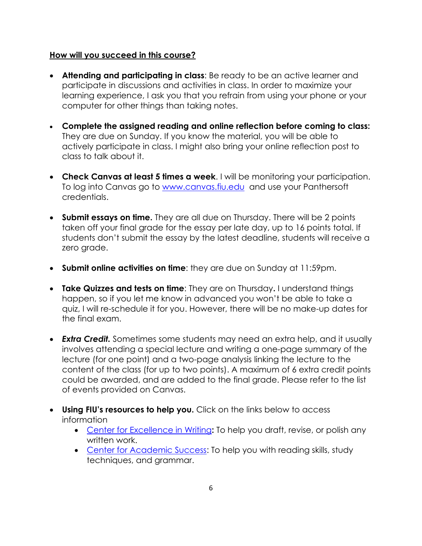### **How will you succeed in this course?**

- **Attending and participating in class**: Be ready to be an active learner and participate in discussions and activities in class. In order to maximize your learning experience, I ask you that you refrain from using your phone or your computer for other things than taking notes.
- **Complete the assigned reading and online reflection before coming to class:** They are due on Sunday. If you know the material, you will be able to actively participate in class. I might also bring your online reflection post to class to talk about it.
- **Check Canvas at least 5 times a week**. I will be monitoring your participation. To log into Canvas go to [www.canvas.fiu.edu](http://www.canvas.fiu.edu/) and use your Panthersoft credentials.
- **Submit essays on time.** They are all due on Thursday. There will be 2 points taken off your final grade for the essay per late day, up to 16 points total. If students don't submit the essay by the latest deadline, students will receive a zero grade.
- **Submit online activities on time**: they are due on Sunday at 11:59pm.
- **Take Quizzes and tests on time**: They are on Thursday**.** I understand things happen, so if you let me know in advanced you won't be able to take a quiz, I will re-schedule it for you. However, there will be no make-up dates for the final exam.
- *Extra Credit.* Sometimes some students may need an extra help, and it usually involves attending a special lecture and writing a one-page summary of the lecture (for one point) and a two-page analysis linking the lecture to the content of the class (for up to two points). A maximum of 6 extra credit points could be awarded, and are added to the final grade. Please refer to the list of events provided on Canvas.
- **Using FIU's resources to help you.** Click on the links below to access information
	- [Center for Excellence in Writing](https://writingcenter.fiu.edu/)**:** To help you draft, revise, or polish any written work.
	- [Center for Academic Success:](http://undergrad.fiu.edu/cas/) To help you with reading skills, study techniques, and grammar.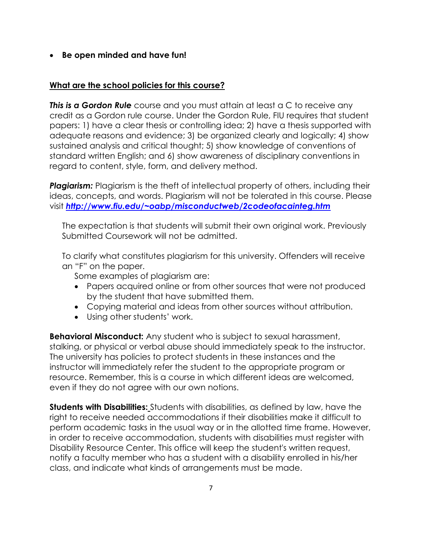• **Be open minded and have fun!**

### **What are the school policies for this course?**

*This is a Gordon Rule* course and you must attain at least a C to receive any credit as a Gordon rule course. Under the Gordon Rule, FIU requires that student papers: 1) have a clear thesis or controlling idea; 2) have a thesis supported with adequate reasons and evidence; 3) be organized clearly and logically; 4) show sustained analysis and critical thought; 5) show knowledge of conventions of standard written English; and 6) show awareness of disciplinary conventions in regard to content, style, form, and delivery method.

**Plagiarism:** Plagiarism is the theft of intellectual property of others, including their ideas, concepts, and words. Plagiarism will not be tolerated in this course. Please visit *<http://www.fiu.edu/~oabp/misconductweb/2codeofacainteg.htm>*

The expectation is that students will submit their own original work. Previously Submitted Coursework will not be admitted.

To clarify what constitutes plagiarism for this university. Offenders will receive an "F" on the paper.

Some examples of plagiarism are:

- Papers acquired online or from other sources that were not produced by the student that have submitted them.
- Copying material and ideas from other sources without attribution.
- Using other students' work.

**Behavioral Misconduct:** Any student who is subject to sexual harassment, stalking, or physical or verbal abuse should immediately speak to the instructor. The university has policies to protect students in these instances and the instructor will immediately refer the student to the appropriate program or resource. Remember, this is a course in which different ideas are welcomed, even if they do not agree with our own notions.

**Students with Disabilities:** Students with disabilities, as defined by law, have the right to receive needed accommodations if their disabilities make it difficult to perform academic tasks in the usual way or in the allotted time frame. However, in order to receive accommodation, students with disabilities must register with Disability Resource Center. This office will keep the student's written request, notify a faculty member who has a student with a disability enrolled in his/her class, and indicate what kinds of arrangements must be made.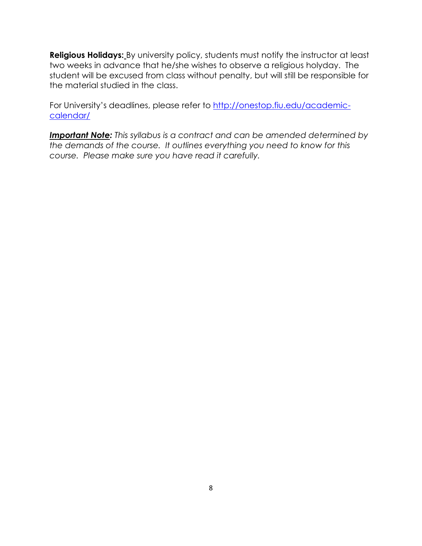**Religious Holidays:** By university policy, students must notify the instructor at least two weeks in advance that he/she wishes to observe a religious holyday. The student will be excused from class without penalty, but will still be responsible for the material studied in the class.

For University's deadlines, please refer to [http://onestop.fiu.edu/academic](http://onestop.fiu.edu/academic-calendar/)[calendar/](http://onestop.fiu.edu/academic-calendar/)

*Important Note: This syllabus is a contract and can be amended determined by the demands of the course. It outlines everything you need to know for this course. Please make sure you have read it carefully.*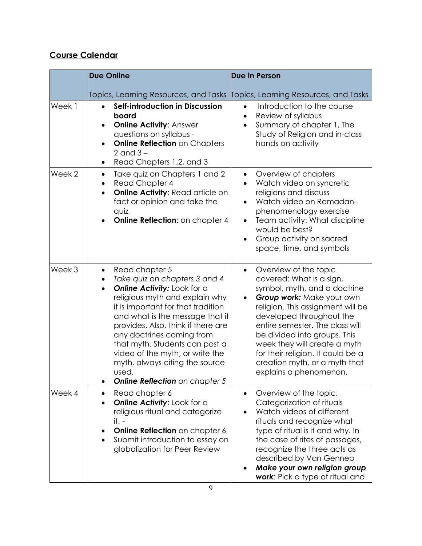# **Course Calendar**

|                   | <b>Due Online</b>                                                                                                                                                                                                                                                                                                                                                                                                                                                   | <b>Due in Person</b>                                                                                                                                                                                                                                                                                                                                                                                         |
|-------------------|---------------------------------------------------------------------------------------------------------------------------------------------------------------------------------------------------------------------------------------------------------------------------------------------------------------------------------------------------------------------------------------------------------------------------------------------------------------------|--------------------------------------------------------------------------------------------------------------------------------------------------------------------------------------------------------------------------------------------------------------------------------------------------------------------------------------------------------------------------------------------------------------|
|                   | Topics, Learning Resources, and Tasks                                                                                                                                                                                                                                                                                                                                                                                                                               | Topics, Learning Resources, and Tasks                                                                                                                                                                                                                                                                                                                                                                        |
| Week 1            | <b>Self-introduction in Discussion</b><br>$\bullet$<br>board<br><b>Online Activity: Answer</b><br>$\bullet$<br>questions on syllabus -<br><b>Online Reflection on Chapters</b><br>$\bullet$<br>2 and $3-$<br>Read Chapters 1,2, and 3<br>٠                                                                                                                                                                                                                          | Introduction to the course<br>$\bullet$<br>Review of syllabus<br>$\bullet$<br>Summary of chapter 1, The<br>$\bullet$<br>Study of Religion and in-class<br>hands on activity                                                                                                                                                                                                                                  |
| Week 2            | Take quiz on Chapters 1 and 2<br>$\bullet$<br>Read Chapter 4<br>$\bullet$<br><b>Online Activity: Read article on</b><br>$\bullet$<br>fact or opinion and take the<br>quiz<br>Online Reflection: on chapter 4                                                                                                                                                                                                                                                        | Overview of chapters<br>$\bullet$<br>Watch video on syncretic<br>$\bullet$<br>religions and discuss<br>Watch video on Ramadan-<br>$\bullet$<br>phenomenology exercise<br>Team activity: What discipline<br>$\bullet$<br>would be best?<br>Group activity on sacred<br>$\bullet$<br>space, time, and symbols                                                                                                  |
| Week <sub>3</sub> | Read chapter 5<br>$\bullet$<br>Take quiz on chapters 3 and 4<br><b>Online Activity: Look for a</b><br>$\bullet$<br>religious myth and explain why<br>it is important for that tradition<br>and what is the message that it<br>provides. Also, think if there are<br>any doctrines coming from<br>that myth. Students can post a<br>video of the myth, or write the<br>myth, always citing the source<br>used.<br><b>Online Reflection</b> on chapter 5<br>$\bullet$ | Overview of the topic<br>$\bullet$<br>covered: What is a sign,<br>symbol, myth, and a doctrine<br>Group work: Make your own<br>$\bullet$<br>religion. This assignment will be<br>developed throughout the<br>entire semester. The class will<br>be divided into groups. This<br>week they will create a myth<br>for their religion. It could be a<br>creation myth, or a myth that<br>explains a phenomenon. |
| Week 4            | Read chapter 6<br>$\bullet$<br><b>Online Activity: Look for a</b><br>$\bullet$<br>religious ritual and categorize<br>$it. -$<br>Online Reflection on chapter 6<br>Submit introduction to essay on<br>globalization for Peer Review                                                                                                                                                                                                                                  | Overview of the topic.<br>$\bullet$<br>Categorization of rituals<br>Watch videos of different<br>rituals and recognize what<br>type of ritual is it and why. In<br>the case of rites of passages,<br>recognize the three acts as<br>described by Van Gennep<br>Make your own religion group<br>$\bullet$<br>work: Pick a type of ritual and                                                                  |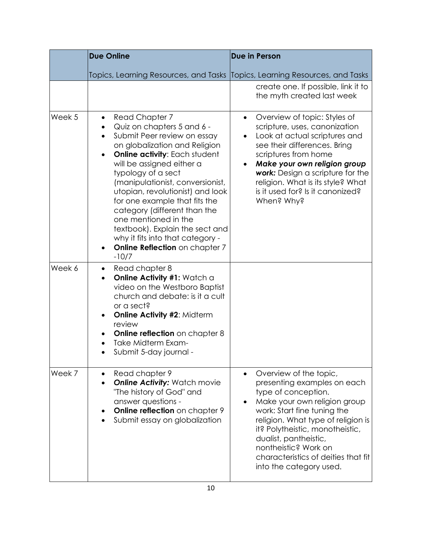|                   | <b>Due Online</b>                                                                                                                                                                                                                                                                                                                                                                                                                                                                                                                          | <b>Due in Person</b>                                                                                                                                                                                                                                                                                                                                 |
|-------------------|--------------------------------------------------------------------------------------------------------------------------------------------------------------------------------------------------------------------------------------------------------------------------------------------------------------------------------------------------------------------------------------------------------------------------------------------------------------------------------------------------------------------------------------------|------------------------------------------------------------------------------------------------------------------------------------------------------------------------------------------------------------------------------------------------------------------------------------------------------------------------------------------------------|
|                   |                                                                                                                                                                                                                                                                                                                                                                                                                                                                                                                                            | Topics, Learning Resources, and Tasks  Topics, Learning Resources, and Tasks<br>create one. If possible, link it to<br>the myth created last week                                                                                                                                                                                                    |
| Week <sub>5</sub> | Read Chapter 7<br>$\bullet$<br>Quiz on chapters 5 and 6 -<br>Submit Peer review on essay<br>$\bullet$<br>on globalization and Religion<br><b>Online activity: Each student</b><br>$\bullet$<br>will be assigned either a<br>typology of a sect<br>(manipulationist, conversionist,<br>utopian, revolutionist) and look<br>for one example that fits the<br>category (different than the<br>one mentioned in the<br>textbook). Explain the sect and<br>why it fits into that category -<br><b>Online Reflection</b> on chapter 7<br>$-10/7$ | Overview of topic: Styles of<br>$\bullet$<br>scripture, uses, canonization<br>Look at actual scriptures and<br>$\bullet$<br>see their differences. Bring<br>scriptures from home<br>Make your own religion group<br><b>work:</b> Design a scripture for the<br>religion. What is its style? What<br>is it used for? Is it canonized?<br>When? Why?   |
| Week 6            | Read chapter 8<br>٠<br>Online Activity #1: Watch a<br>$\bullet$<br>video on the Westboro Baptist<br>church and debate: is it a cult<br>or a sect?<br><b>Online Activity #2: Midterm</b><br>$\bullet$<br>review<br><b>Online reflection</b> on chapter 8<br><b>Take Midterm Exam-</b><br>Submit 5-day journal -<br>$\bullet$                                                                                                                                                                                                                |                                                                                                                                                                                                                                                                                                                                                      |
| Week 7            | Read chapter 9<br><b>Online Activity: Watch movie</b><br>"The history of God" and<br>answer questions -<br>Online reflection on chapter 9<br>Submit essay on globalization                                                                                                                                                                                                                                                                                                                                                                 | Overview of the topic,<br>presenting examples on each<br>type of conception.<br>Make your own religion group<br>$\bullet$<br>work: Start fine tuning the<br>religion. What type of religion is<br>it? Polytheistic, monotheistic,<br>dualist, pantheistic,<br>nontheistic? Work on<br>characteristics of deities that fit<br>into the category used. |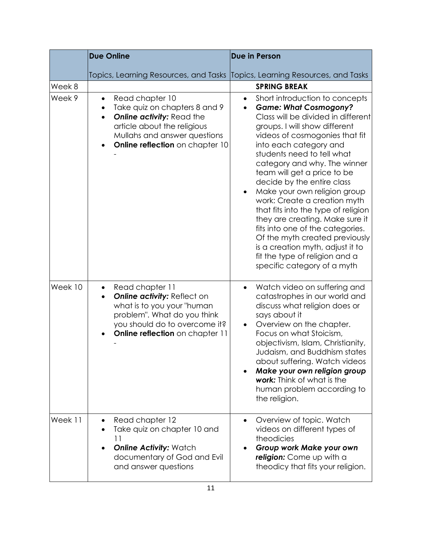|         | <b>Due Online</b>                                                                                                                                                                                                | <b>Due in Person</b>                                                                                                                                                                                                                                                                                                                                                                                                                                                                                                                                                                                                                                           |
|---------|------------------------------------------------------------------------------------------------------------------------------------------------------------------------------------------------------------------|----------------------------------------------------------------------------------------------------------------------------------------------------------------------------------------------------------------------------------------------------------------------------------------------------------------------------------------------------------------------------------------------------------------------------------------------------------------------------------------------------------------------------------------------------------------------------------------------------------------------------------------------------------------|
|         | Topics, Learning Resources, and Tasks                                                                                                                                                                            | Topics, Learning Resources, and Tasks                                                                                                                                                                                                                                                                                                                                                                                                                                                                                                                                                                                                                          |
| Week 8  |                                                                                                                                                                                                                  | <b>SPRING BREAK</b>                                                                                                                                                                                                                                                                                                                                                                                                                                                                                                                                                                                                                                            |
| Week 9  | Read chapter 10<br>$\bullet$<br>Take quiz on chapters 8 and 9<br><b>Online activity: Read the</b><br>$\bullet$<br>article about the religious<br>Mullahs and answer questions<br>Online reflection on chapter 10 | Short introduction to concepts<br>$\bullet$<br><b>Game: What Cosmogony?</b><br>Class will be divided in different<br>groups. I will show different<br>videos of cosmogonies that fit<br>into each category and<br>students need to tell what<br>category and why. The winner<br>team will get a price to be<br>decide by the entire class<br>Make your own religion group<br>work: Create a creation myth<br>that fits into the type of religion<br>they are creating. Make sure it<br>fits into one of the categories.<br>Of the myth created previously<br>is a creation myth, adjust it to<br>fit the type of religion and a<br>specific category of a myth |
| Week 10 | Read chapter 11<br>$\bullet$<br><b>Online activity: Reflect on</b><br>$\bullet$<br>what is to you your "human<br>problem". What do you think<br>you should do to overcome it?<br>Online reflection on chapter 11 | Watch video on suffering and<br>$\bullet$<br>catastrophes in our world and<br>discuss what religion does or<br>says about it<br>Overview on the chapter.<br>Focus on what Stoicism,<br>objectivism, Islam, Christianity,<br>Judaism, and Buddhism states<br>about suffering. Watch videos<br>Make your own religion group<br>work: Think of what is the<br>human problem according to<br>the religion.                                                                                                                                                                                                                                                         |
| Week 11 | Read chapter 12<br>Take quiz on chapter 10 and<br>11<br><b>Online Activity: Watch</b><br>documentary of God and Evil<br>and answer questions                                                                     | Overview of topic. Watch<br>$\bullet$<br>videos on different types of<br>theodicies<br>Group work Make your own<br>religion: Come up with a<br>theodicy that fits your religion.                                                                                                                                                                                                                                                                                                                                                                                                                                                                               |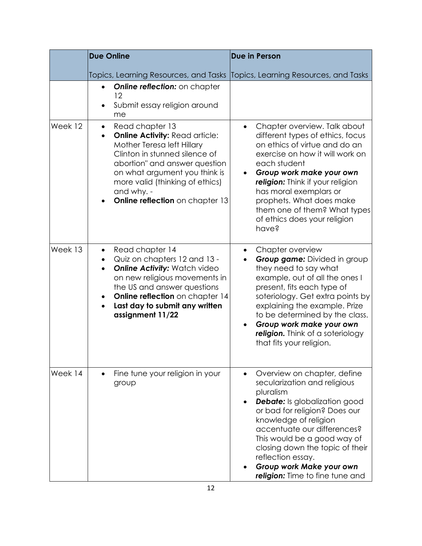|         | <b>Due Online</b>                                                                                                                                                                                                                                                                                       | <b>Due in Person</b>                                                                                                                                                                                                                                                                                                                                                         |
|---------|---------------------------------------------------------------------------------------------------------------------------------------------------------------------------------------------------------------------------------------------------------------------------------------------------------|------------------------------------------------------------------------------------------------------------------------------------------------------------------------------------------------------------------------------------------------------------------------------------------------------------------------------------------------------------------------------|
|         | Topics, Learning Resources, and Tasks                                                                                                                                                                                                                                                                   | Topics, Learning Resources, and Tasks                                                                                                                                                                                                                                                                                                                                        |
|         | <b>Online reflection:</b> on chapter<br>$\bullet$<br>12<br>Submit essay religion around<br>me                                                                                                                                                                                                           |                                                                                                                                                                                                                                                                                                                                                                              |
| Week 12 | Read chapter 13<br>$\bullet$<br><b>Online Activity: Read article:</b><br>$\bullet$<br>Mother Teresa left Hillary<br>Clinton in stunned silence of<br>abortion" and answer question<br>on what argument you think is<br>more valid (thinking of ethics)<br>and why. -<br>Online reflection on chapter 13 | Chapter overview. Talk about<br>$\bullet$<br>different types of ethics, focus<br>on ethics of virtue and do an<br>exercise on how it will work on<br>each student<br>Group work make your own<br>religion: Think if your religion<br>has moral exemplars or<br>prophets. What does make<br>them one of them? What types<br>of ethics does your religion<br>have?             |
| Week 13 | Read chapter 14<br>Quiz on chapters 12 and 13 -<br><b>Online Activity: Watch video</b><br>on new religious movements in<br>the US and answer questions<br>Online reflection on chapter 14<br>Last day to submit any written<br>$\bullet$<br>assignment 11/22                                            | Chapter overview<br>Group game: Divided in group<br>they need to say what<br>example, out of all the ones I<br>present, fits each type of<br>soteriology. Get extra points by<br>explaining the example. Prize<br>to be determined by the class.<br>Group work make your own<br>religion. Think of a soteriology<br>that fits your religion.                                 |
| Week 14 | Fine tune your religion in your<br>$\bullet$<br>group                                                                                                                                                                                                                                                   | Overview on chapter, define<br>$\bullet$<br>secularization and religious<br>pluralism<br><b>Debate:</b> Is globalization good<br>or bad for religion? Does our<br>knowledge of religion<br>accentuate our differences?<br>This would be a good way of<br>closing down the topic of their<br>reflection essay.<br>Group work Make your own<br>religion: Time to fine tune and |